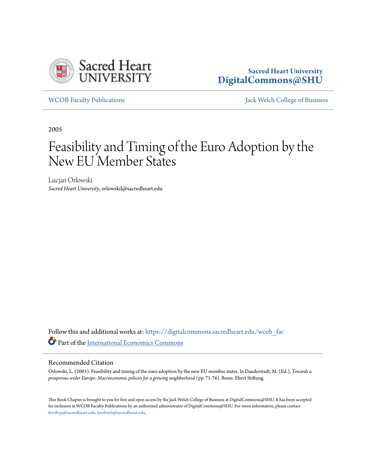

# **Sacred Heart University [DigitalCommons@SHU](https://digitalcommons.sacredheart.edu?utm_source=digitalcommons.sacredheart.edu%2Fwcob_fac%2F209&utm_medium=PDF&utm_campaign=PDFCoverPages)**

[WCOB Faculty Publications](https://digitalcommons.sacredheart.edu/wcob_fac?utm_source=digitalcommons.sacredheart.edu%2Fwcob_fac%2F209&utm_medium=PDF&utm_campaign=PDFCoverPages) [Jack Welch College of Business](https://digitalcommons.sacredheart.edu/wcob?utm_source=digitalcommons.sacredheart.edu%2Fwcob_fac%2F209&utm_medium=PDF&utm_campaign=PDFCoverPages)

2005

# Feasibility and Timing of the Euro Adoption by the New EU Member States

Lucjan Orlowski *Sacred Heart University*, orlowskil@sacredheart.edu

Follow this and additional works at: [https://digitalcommons.sacredheart.edu/wcob\\_fac](https://digitalcommons.sacredheart.edu/wcob_fac?utm_source=digitalcommons.sacredheart.edu%2Fwcob_fac%2F209&utm_medium=PDF&utm_campaign=PDFCoverPages) Part of the [International Economics Commons](http://network.bepress.com/hgg/discipline/348?utm_source=digitalcommons.sacredheart.edu%2Fwcob_fac%2F209&utm_medium=PDF&utm_campaign=PDFCoverPages)

#### Recommended Citation

Orlowski, L. (2005). Feasibility and timing of the euro adoption by the new EU member states. In Dauderstadt, M. (Ed.), *Towards a prosperous wider Europe: Macroeconomic policies for a growing neighborhood* (pp. 71-76)*.* Bonn: Ebert Stiftung.

This Book Chapter is brought to you for free and open access by the Jack Welch College of Business at DigitalCommons@SHU. It has been accepted for inclusion in WCOB Faculty Publications by an authorized administrator of DigitalCommons@SHU. For more information, please contact [ferribyp@sacredheart.edu, lysobeyb@sacredheart.edu.](mailto:ferribyp@sacredheart.edu,%20lysobeyb@sacredheart.edu)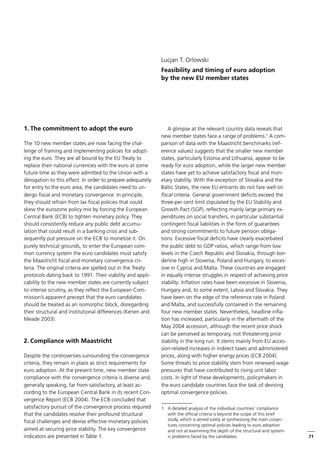## **Feasibility and timing of euro adoption by the new EU member states**

#### **1. The commitment to adopt the euro**

The 10 new member states are now facing the challenge of framing and implementing policies for adopting the euro. They are all bound by the EU Treaty to replace their national currencies with the euro at some future time as they were admitted to the Union with a derogation to this effect. In order to prepare adequately for entry to the euro area, the candidates need to undergo fiscal and monetary convergence. In principle, they should refrain from lax fiscal policies that could skew the eurozone policy mix by forcing the European Central Bank (ECB) to tighten monetary policy. They should consistently reduce any public debt accumulation that could result in a banking crisis and subsequently put pressure on the ECB to monetize it. On purely technical grounds, to enter the European common currency system the euro candidates must satisfy the Maastricht fiscal and monetary convergence criteria. The original criteria are spelled out in the Treaty protocols dating back to 1991. Their viability and applicability to the new member states are currently subject to intense scrutiny, as they reflect the European Commission's apparent precept that the euro candidates should be treated as an isomorphic block, disregarding their structural and institutional differences (Kenen and Meade 2003).

#### **2. Compliance with Maastricht**

Despite the controversies surrounding the convergence criteria, they remain in place as strict requirements for euro adoption. At the present time, new member state compliance with the convergence criteria is diverse and, generally speaking, far from satisfactory, at least according to the European Central Bank in its recent Convergence Report (ECB 2004). The ECB concluded that satisfactory pursuit of the convergence process required that the candidates resolve their profound structural fiscal challenges and devise effective monetary policies aimed at securing price stability. The key convergence indicators are presented in Table 1.

A glimpse at the relevant country data reveals that new member states face a range of problems.<sup>1</sup> A comparison of data with the Maastricht benchmarks (reference values) suggests that the smaller new member states, particularly Estonia and Lithuania, appear to be ready for euro adoption, while the larger new member states have yet to achieve satisfactory fiscal and monetary stability. With the exception of Slovakia and the Baltic States, the new EU entrants do not fare well on *fiscal criteria*. General government deficits exceed the three-per cent limit stipulated by the EU Stability and Growth Pact (SGP), reflecting mainly large primary expenditures on social transfers, in particular substantial contingent fiscal liabilities in the form of guarantees and strong commitments to future pension obligations. Excessive fiscal deficits have clearly exacerbated the public debt to GDP ratios, which range from low levels in the Czech Republic and Slovakia, through borderline high in Slovenia, Poland and Hungary, to excessive in Cyprus and Malta. These countries are engaged in equally intense struggles in respect of achieving *price*  stability. Inflation rates have been excessive in Slovenia, Hungary and, to some extent, Latvia and Slovakia. They have been on the edge of the reference rate in Poland and Malta, and successfully contained in the remaining four new member states. Nevertheless, headline inflation has increased, particularly in the aftermath of the May 2004 accession, although the recent price shock can be perceived as temporary, not threatening price stability in the long run. It stems mainly from EU accession-related increases in indirect taxes and administered prices, along with higher energy prices (ECB 2004). Some threats to price stability stem from renewed wage pressures that have contributed to rising unit labor costs. In light of these developments, policymakers in the euro candidate countries face the task of devising optimal convergence policies.

<sup>1</sup> A detailed analysis of the individual countries' compliance with the official criteria is beyond the scope of this brief study, which is aimed solely at synthesising the main conjectures concerning optimal policies leading to euro adoption and not at examining the depth of the structural and systemic problems faced by the candidates.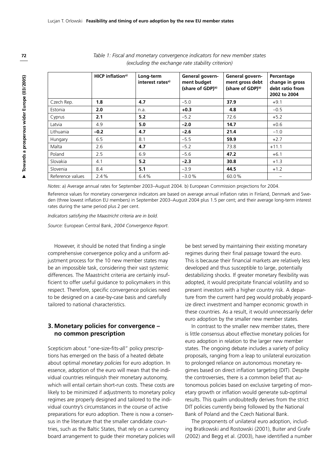|                  | <b>HICP</b> inflation <sup>a)</sup> | Long-term<br>interest rates <sup>a)</sup> | General govern-<br>ment budget<br>(share of GDP) <sup>b)</sup> | General govern-<br>ment gross debt<br>(share of GDP) <sup>b)</sup> | Percentage<br>change in gross<br>debt ratio from<br>2002 to 2004 |
|------------------|-------------------------------------|-------------------------------------------|----------------------------------------------------------------|--------------------------------------------------------------------|------------------------------------------------------------------|
| Czech Rep.       | 1.8                                 | 4.7                                       | $-5.0$                                                         | 37.9                                                               | $+9.1$                                                           |
| Estonia          | 2.0                                 | n.a.                                      | $+0.3$                                                         | 4.8                                                                | $-0.5$                                                           |
| Cyprus           | 2.1                                 | 5.2                                       | $-5.2$                                                         | 72.6                                                               | $+5.2$                                                           |
| Latvia           | 4.9                                 | 5.0                                       | $-2.0$                                                         | 14.7                                                               | $+0.6$                                                           |
| Lithuania        | $-0.2$                              | 4.7                                       | $-2.6$                                                         | 21.4                                                               | $-1.0$                                                           |
| Hungary          | 6.5                                 | 8.1                                       | $-5.5$                                                         | 59.9                                                               | $+2.7$                                                           |
| Malta            | 2.6                                 | 4.7                                       | $-5.2$                                                         | 73.8                                                               | $+11.1$                                                          |
| Poland           | 2.5                                 | 6.9                                       | $-5.6$                                                         | 47.2                                                               | $+6.1$                                                           |
| Slovakia         | 4.1                                 | 5.2                                       | $-2.3$                                                         | 30.8                                                               | $+1.3$                                                           |
| Slovenia         | 8.4                                 | 5.1                                       | $-3.9$                                                         | 44.5                                                               | $+1.2$                                                           |
| Reference values | 2.4%                                | 6.4%                                      | $-3.0%$                                                        | 60.0%                                                              |                                                                  |

*Table 1: Fiscal and monetary convergence indicators for new member states (excluding the exchange rate stability criterion)* 

*Notes*: a) Average annual rates for September 2003–August 2004. b) European Commission projections for 2004.

Reference values for monetary convergence indicators are based on average annual inflation rates in Finland, Denmark and Sweden (three lowest inflation EU members) in September 2003–August 2004 plus 1.5 per cent; and their average long-term interest rates during the same period plus 2 per cent.

*Indicators satisfying the Maastricht criteria are in bold.*

*Source:* European Central Bank, *2004 Convergence Report*.

However, it should be noted that finding a single comprehensive convergence policy and a uniform adjustment process for the 10 new member states may be an impossible task, considering their vast systemic differences. The Maastricht criteria are certainly insufficient to offer useful guidance to policymakers in this respect. Therefore, specific convergence policies need to be designed on a case-by-case basis and carefully tailored to national characteristics.

#### **3. Monetary policies for convergence – no common prescription**

Scepticism about "one-size-fits-all" policy prescriptions has emerged on the basis of a heated debate about optimal *monetary policies* for euro adoption. In essence, adoption of the euro will mean that the individual countries relinquish their monetary autonomy, which will entail certain short-run costs. These costs are likely to be minimized if adjustments to monetary policy regimes are properly designed and tailored to the individual country's circumstances in the course of active preparations for euro adoption. There is now a consensus in the literature that the smaller candidate countries, such as the Baltic States, that rely on a currency board arrangement to guide their monetary policies will be best served by maintaining their existing monetary regimes during their final passage toward the euro. This is because their financial markets are relatively less developed and thus susceptible to large, potentially destabilizing shocks. If greater monetary flexibility was adopted, it would precipitate financial volatility and so present investors with a higher country risk. A departure from the current hard peg would probably jeopardize direct investment and hamper economic growth in these countries. As a result, it would unnecessarily defer euro adoption by the smaller new member states.

In contrast to the smaller new member states, there is little consensus about effective monetary policies for euro adoption in relation to the larger new member states. The ongoing debate includes a variety of policy proposals, ranging from a leap to unilateral euroization to prolonged reliance on autonomous monetary regimes based on direct inflation targeting (DIT). Despite the controversies, there is a common belief that autonomous policies based on exclusive targeting of monetary growth or inflation would generate sub-optimal results. This qualm undoubtedly derives from the strict DIT policies currently being followed by the National Bank of Poland and the Czech National Bank.

The proponents of unilateral euro adoption, including Bratkowski and Rostowski (2001), Buiter and Grafe (2002) and Begg et al. (2003), have identified a number

**72**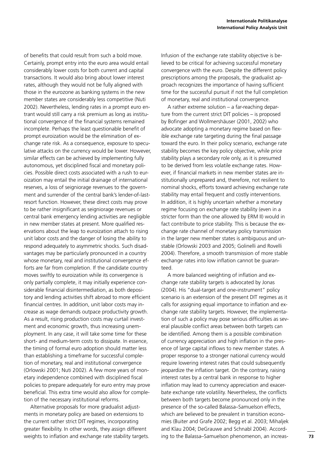of benefits that could result from such a bold move. Certainly, prompt entry into the euro area would entail considerably lower costs for both current and capital transactions. It would also bring about lower interest rates, although they would not be fully aligned with those in the eurozone as banking systems in the new member states are considerably less competitive (Nuti 2002). Nevertheless, lending rates in a prompt euro entrant would still carry a risk premium as long as institutional convergence of the financial systems remained incomplete. Perhaps the least questionable benefit of prompt euroization would be the elimination of exchange rate risk. As a consequence, exposure to speculative attacks on the currency would be lower. However, similar effects can be achieved by implementing fully autonomous, yet disciplined fiscal and monetary policies. Possible direct costs associated with a rush to euroization may entail the initial drainage of international reserves, a loss of seigniorage revenues to the government and surrender of the central bank's lender-of-lastresort function. However, these direct costs may prove to be rather insignificant as seigniorage revenues or central bank emergency lending activities are negligible in new member states at present. More qualified reservations about the leap to euroization attach to rising unit labor costs and the danger of losing the ability to respond adequately to asymmetric shocks. Such disadvantages may be particularly pronounced in a country whose monetary, real and institutional convergence efforts are far from completion. If the candidate country moves swiftly to euroization while its convergence is only partially complete, it may initially experience considerable financial disintermediation, as both depository and lending activities shift abroad to more efficient financial centres. In addition, unit labor costs may increase as wage demands outpace productivity growth. As a result, rising production costs may curtail investment and economic growth, thus increasing unemployment. In any case, it will take some time for these short- and medium-term costs to dissipate. In essence, the timing of formal euro adoption should matter less than establishing a timeframe for successful completion of monetary, real and institutional convergence (Orlowski 2001; Nuti 2002). A few more years of monetary independence combined with disciplined fiscal policies to prepare adequately for euro entry may prove beneficial. This extra time would also allow for completion of the necessary institutional reforms.

Alternative proposals for more gradualist adjustments in monetary policy are based on extensions to the current rather strict DIT regimes, incorporating greater flexibility. In other words, they assign different weights to inflation and exchange rate stability targets. Infusion of the exchange rate stability objective is believed to be critical for achieving successful monetary convergence with the euro. Despite the different policy prescriptions among the proposals, the gradualist approach recognizes the importance of having sufficient time for the successful pursuit if not the full completion of monetary, real and institutional convergence.

A rather extreme solution – a far-reaching departure from the current strict DIT policies – is proposed by Bofinger and Wollmershäuser (2001, 2002) who advocate adopting a monetary regime based on flexible exchange rate targeting during the final passage toward the euro. In their policy scenario, exchange rate stability becomes the key policy objective, while price stability plays a secondary role only, as it is presumed to be derived from less volatile exchange rates. However, if financial markets in new member states are institutionally unprepared and, therefore, not resilient to nominal shocks, efforts toward achieving exchange rate stability may entail frequent and costly interventions. In addition, it is highly uncertain whether a monetary regime focusing on exchange rate stability (even in a stricter form than the one allowed by ERM II) would in fact contribute to price stability. This is because the exchange rate channel of monetary policy transmission in the larger new member states is ambiguous and unstable (Orlowski 2003 and 2005; Golinelli and Rovelli 2004). Therefore, a smooth transmission of more stable exchange rates into low inflation cannot be guaranteed.

A more balanced weighting of inflation and exchange rate stability targets is advocated by Jonas (2004). His "dual-target and one-instrument" policy scenario is an extension of the present DIT regimes as it calls for assigning equal importance to inflation and exchange rate stability targets. However, the implementation of such a policy may pose serious difficulties as seyeral plausible conflict areas between both targets can be identified. Among them is a possible combination of currency appreciation and high inflation in the presence of large capital inflows to new member states. A proper response to a stronger national currency would require lowering interest rates that could subsequently jeopardize the inflation target. On the contrary, raising interest rates by a central bank in response to higher inflation may lead to currency appreciation and exacerbate exchange rate volatility. Nevertheless, the conflicts between both targets become pronounced only in the presence of the so-called Balassa–Samuelson effects, which are believed to be prevalent in transition economies (Buiter and Grafe 2002; Begg et al. 2003; Mihaljek and Klau 2004; DeGrauwe and Schnabl 2004). According to the Balassa–Samuelson phenomenon, an increas-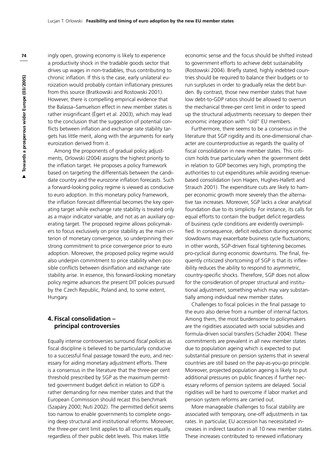ingly open, growing economy is likely to experience a productivity shock in the tradable goods sector that drives up wages in non-tradables, thus contributing to chronic inflation. If this is the case, early unilateral euroization would probably contain inflationary pressures from this source (Bratkowski and Rostowski 2001). However, there is compelling empirical evidence that the Balassa–Samuelson effect in new member states is rather insignificant (Égert et al. 2003), which may lead to the conclusion that the suggestion of potential conflicts between inflation and exchange rate stability targets has little merit, along with the arguments for early euroization derived from it.

Among the proponents of gradual policy adjustments, Orlowski (2004) assigns the highest priority to the inflation target. He proposes a policy framework based on targeting the differentials between the candidate country and the eurozone inflation forecasts. Such a forward-looking policy regime is viewed as conducive to euro adoption. In this monetary policy framework, the inflation forecast differential becomes the key operating target while exchange rate stability is treated only as a major indicator variable, and not as an auxiliary operating target. The proposed regime allows policymakers to focus exclusively on price stability as the main criterion of monetary convergence, so underpinning their strong commitment to price convergence prior to euro adoption. Moreover, the proposed policy regime would also underpin commitment to price stability when possible conflicts between disinflation and exchange rate stability arise. In essence, this forward-looking monetary policy regime advances the present DIT policies pursued by the Czech Republic, Poland and, to some extent, Hungary.

#### **4. Fiscal consolidation – principal controversies**

Equally intense controversies surround *fiscal policies* as fiscal discipline is believed to be particularly conducive to a successful final passage toward the euro, and necessary for aiding monetary adjustment efforts. There is a consensus in the literature that the three-per cent threshold prescribed by SGP as the maximum permitted government budget deficit in relation to GDP is rather demanding for new member states and that the European Commission should recast this benchmark (Szapáry 2000; Nuti 2002). The permitted deficit seems too narrow to enable governments to complete ongoing deep structural and institutional reforms. Moreover, the three-per cent limit applies to all countries equally, regardless of their public debt levels. This makes little

economic sense and the focus should be shifted instead to government efforts to achieve debt sustainability (Rostowski 2004). Briefly stated, highly indebted countries should be required to balance their budgets or to run surpluses in order to gradually relax the debt burden. By contrast, those new member states that have low debt-to-GDP ratios should be allowed to overrun the mechanical three-per cent limit in order to speed up the structural adjustments necessary to deepen their economic integration with "old" EU members.

Furthermore, there seems to be a consensus in the literature that SGP rigidity and its one-dimensional character are counterproductive as regards the quality of fiscal consolidation in new member states. This criticism holds true particularly when the government debt in relation to GDP becomes very high, prompting the authorities to cut expenditures while avoiding revenuebased consolidation (von Hagen, Hughes-Hallett and Strauch 2001). The expenditure cuts are likely to hamper economic growth more severely than the alternative tax increases. Moreover, SGP lacks a clear analytical foundation due to its simplicity. For instance, its calls for equal efforts to contain the budget deficit regardless of business cycle conditions are evidently oversimplified. In consequence, deficit reduction during economic slowdowns may exacerbate business cycle fluctuations; in other words, SGP-driven fiscal tightening becomes pro-cyclical during economic downturns. The final, frequently criticized shortcoming of SGP is that its inflexibility reduces the ability to respond to asymmetric, country-specific shocks. Therefore, SGP does not allow for the consideration of proper structural and institutional adjustment, something which may vary substantially among individual new member states.

Challenges to fiscal policies in the final passage to the euro also derive from a number of internal factors. Among them, the most burdensome to policymakers are the rigidities associated with social subsidies and formula-driven social transfers (Schadler 2004). These commitments are prevalent in all new member states due to population ageing which is expected to put substantial pressure on pension systems that in several countries are still based on the pay-as-you-go principle. Moreover, projected population ageing is likely to put additional pressures on public finances if further necessary reforms of pension systems are delayed. Social rigidities will be hard to overcome if labor market and pension system reforms are carried out.

More manageable challenges to fiscal stability are associated with temporary, one-off adjustments in tax rates. In particular, EU accession has necessitated increases in indirect taxation in all 10 new member states. These increases contributed to renewed inflationarv

**74**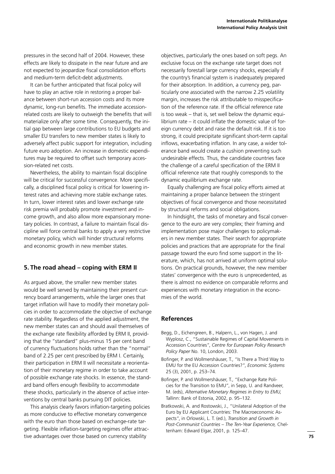pressures in the second half of 2004. However, these effects are likely to dissipate in the near future and are not expected to jeopardize fiscal consolidation efforts and medium-term deficit-debt adjustments.

It can be further anticipated that fiscal policy will have to play an active role in restoring a proper balance between short-run accession costs and its more dynamic, long-run benefits. The immediate accessionrelated costs are likely to outweigh the benefits that will materialize only after some time. Consequently, the initial gap between large contributions to EU budgets and smaller EU transfers to new member states is likely to adversely affect public support for integration, including future euro adoption. An increase in domestic expenditures may be required to offset such temporary accession-related net costs.

Nevertheless, the ability to maintain fiscal discipline will be critical for successful convergence. More specifically, a disciplined fiscal policy is critical for lowering interest rates and achieving more stable exchange rates. In turn, lower interest rates and lower exchange rate risk premia will probably promote investment and income growth, and also allow more expansionary monetary policies. In contrast, a failure to maintain fiscal discipline will force central banks to apply a very restrictive monetary policy, which will hinder structural reforms and economic growth in new member states.

### **5. The road ahead – coping with ERM II**

As argued above, the smaller new member states would be well served by maintaining their present currency board arrangements, while the larger ones that target inflation will have to modify their monetary policies in order to accommodate the objective of exchange rate stability. Regardless of the applied adjustment, the new member states can and should avail themselves of the exchange rate flexibility afforded by ERM II, providing that the "standard" plus-minus 15 per cent band of currency fluctuations holds rather than the "normal" band of 2.25 per cent prescribed by ERM I. Certainly, their participation in ERM II will necessitate a reorientation of their monetary regime in order to take account of possible exchange rate shocks. In essence, the standard band offers enough flexibility to accommodate these shocks, particularly in the absence of active interventions by central banks pursuing DIT policies.

This analysis clearly favors inflation-targeting policies as more conducive to effective monetary convergence with the euro than those based on exchange-rate targeting. Flexible inflation-targeting regimes offer attractive advantages over those based on currency stability

objectives, particularly the ones based on soft pegs. An exclusive focus on the exchange rate target does not necessarily forestall large currency shocks, especially if the country's financial system is inadequately prepared for their absorption. In addition, a currency peg, particularly one associated with the narrow 2.25 volatility margin, increases the risk attributable to misspecification of the reference rate. If the official reference rate is too weak – that is, set well below the dynamic equilibrium rate  $-$  it could inflate the domestic value of foreign currency debt and raise the default risk. If it is too strong, it could precipitate significant short-term capital inflows, exacerbating inflation. In any case, a wider tolerance band would create a cushion preventing such undesirable effects. Thus, the candidate countries face the challenge of a careful specification of the ERM II official reference rate that roughly corresponds to the dynamic equilibrium exchange rate.

Equally challenging are fiscal policy efforts aimed at maintaining a proper balance between the stringent objectives of fiscal convergence and those necessitated by structural reforms and social obligations.

In hindsight, the tasks of monetary and fiscal convergence to the euro are very complex; their framing and implementation pose major challenges to policymakers in new member states. Their search for appropriate policies and practices that are appropriate for the final passage toward the euro find some support in the literature, which, has not arrived at uniform optimal solutions. On practical grounds, however, the new member states' convergence with the euro is unprecedented, as there is almost no evidence on comparable reforms and experiences with monetary integration in the economies of the world.

# **References**

- Begg, D., Eichengreen, B., Halpern, L., von Hagen, J. and Wyplosz, C., "Sustainable Regimes of Capital Movements in Accession Countries", *Centre for European Policy Research Policy Paper* No. 10, London, 2003.
- Bofinger, P. and Wollmershäuser, T., "Is There a Third Way to EMU for the EU Accession Countries?", *Economic Systems*  25 (3), 2001, p. 253–74.
- Bofinger, P. and Wollmershäuser, T., "Exchange Rate Policies for the Transition to EMU", in Sepp, U. and Randveer, M. (eds), *Alternative Monetary Regimes in Entry to EMU,* Tallinn: Bank of Estonia, 2002, p. 95–132.
- Bratkowski, A. and Rostowski, J., "Unilateral Adoption of the Euro by EU Applicant Countries: The Macroeconomic Aspects", in Orlowski, L. T. (ed.), *Transition and Growth in Post-Communist Countries – The Ten-Year Experience,* Cheltenham: Edward Elgar, 2001, p. 125–47.